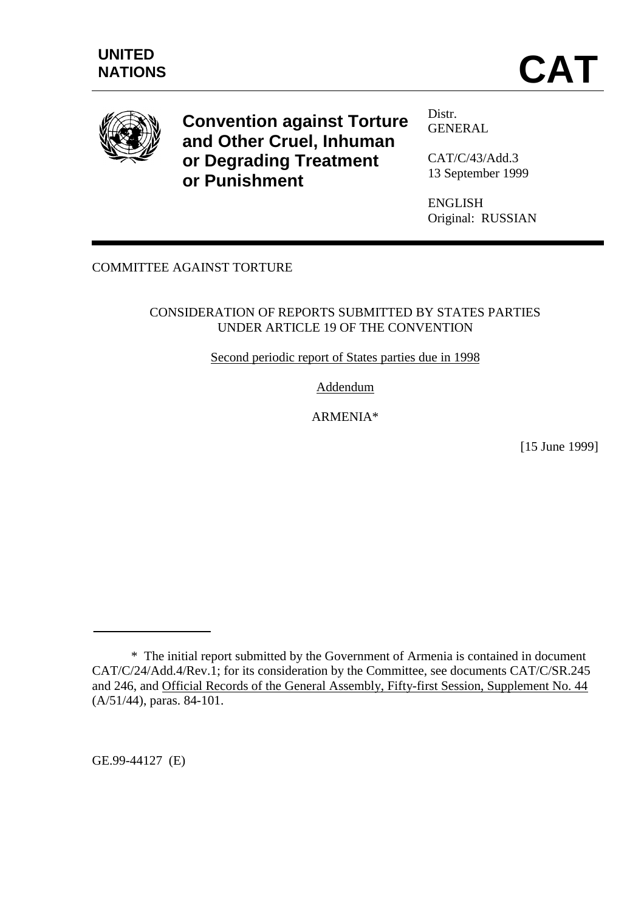

**Convention against Torture and Other Cruel, Inhuman or Degrading Treatment or Punishment**

Distr. GENERAL

CAT/C/43/Add.3 13 September 1999

ENGLISH Original: RUSSIAN

# COMMITTEE AGAINST TORTURE

#### CONSIDERATION OF REPORTS SUBMITTED BY STATES PARTIES UNDER ARTICLE 19 OF THE CONVENTION

Second periodic report of States parties due in 1998

Addendum

ARMENIA\*

[15 June 1999]

GE.99-44127 (E)

<sup>\*</sup> The initial report submitted by the Government of Armenia is contained in document CAT/C/24/Add.4/Rev.1; for its consideration by the Committee, see documents CAT/C/SR.245 and 246, and Official Records of the General Assembly, Fifty-first Session, Supplement No. 44 (A/51/44), paras. 84-101.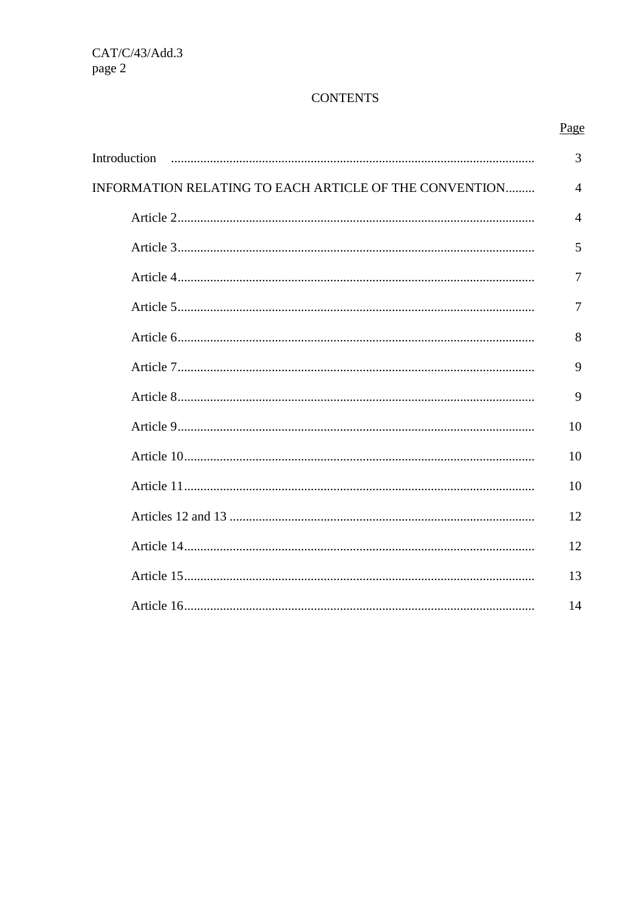# **CONTENTS**

|                                                        | Page           |
|--------------------------------------------------------|----------------|
| Introduction                                           | 3              |
| INFORMATION RELATING TO EACH ARTICLE OF THE CONVENTION | $\overline{4}$ |
|                                                        | $\overline{4}$ |
|                                                        | 5              |
|                                                        | 7              |
|                                                        | 7              |
|                                                        | 8              |
|                                                        | 9              |
|                                                        | 9              |
|                                                        | 10             |
|                                                        | 10             |
|                                                        | 10             |
|                                                        | 12             |
|                                                        | 12             |
|                                                        | 13             |
|                                                        | 14             |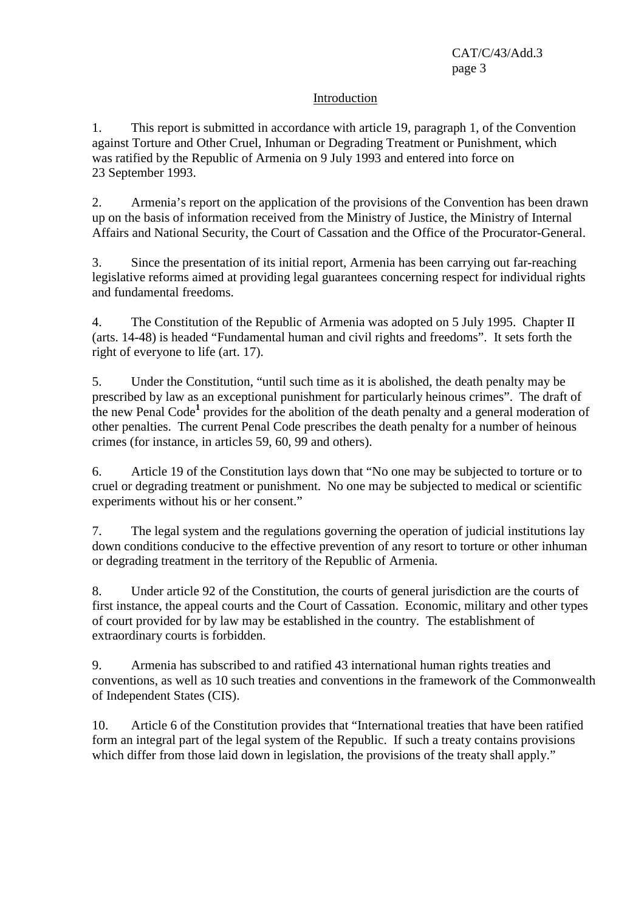#### Introduction

1. This report is submitted in accordance with article 19, paragraph 1, of the Convention against Torture and Other Cruel, Inhuman or Degrading Treatment or Punishment, which was ratified by the Republic of Armenia on 9 July 1993 and entered into force on 23 September 1993.

2. Armenia's report on the application of the provisions of the Convention has been drawn up on the basis of information received from the Ministry of Justice, the Ministry of Internal Affairs and National Security, the Court of Cassation and the Office of the Procurator-General.

3. Since the presentation of its initial report, Armenia has been carrying out far-reaching legislative reforms aimed at providing legal guarantees concerning respect for individual rights and fundamental freedoms.

4. The Constitution of the Republic of Armenia was adopted on 5 July 1995. Chapter II (arts. 14-48) is headed "Fundamental human and civil rights and freedoms". It sets forth the right of everyone to life (art. 17).

5. Under the Constitution, "until such time as it is abolished, the death penalty may be prescribed by law as an exceptional punishment for particularly heinous crimes". The draft of the new Penal Code<sup>1</sup> provides for the abolition of the death penalty and a general moderation of other penalties. The current Penal Code prescribes the death penalty for a number of heinous crimes (for instance, in articles 59, 60, 99 and others).

6. Article 19 of the Constitution lays down that "No one may be subjected to torture or to cruel or degrading treatment or punishment. No one may be subjected to medical or scientific experiments without his or her consent."

7. The legal system and the regulations governing the operation of judicial institutions lay down conditions conducive to the effective prevention of any resort to torture or other inhuman or degrading treatment in the territory of the Republic of Armenia.

8. Under article 92 of the Constitution, the courts of general jurisdiction are the courts of first instance, the appeal courts and the Court of Cassation. Economic, military and other types of court provided for by law may be established in the country. The establishment of extraordinary courts is forbidden.

9. Armenia has subscribed to and ratified 43 international human rights treaties and conventions, as well as 10 such treaties and conventions in the framework of the Commonwealth of Independent States (CIS).

10. Article 6 of the Constitution provides that "International treaties that have been ratified form an integral part of the legal system of the Republic. If such a treaty contains provisions which differ from those laid down in legislation, the provisions of the treaty shall apply."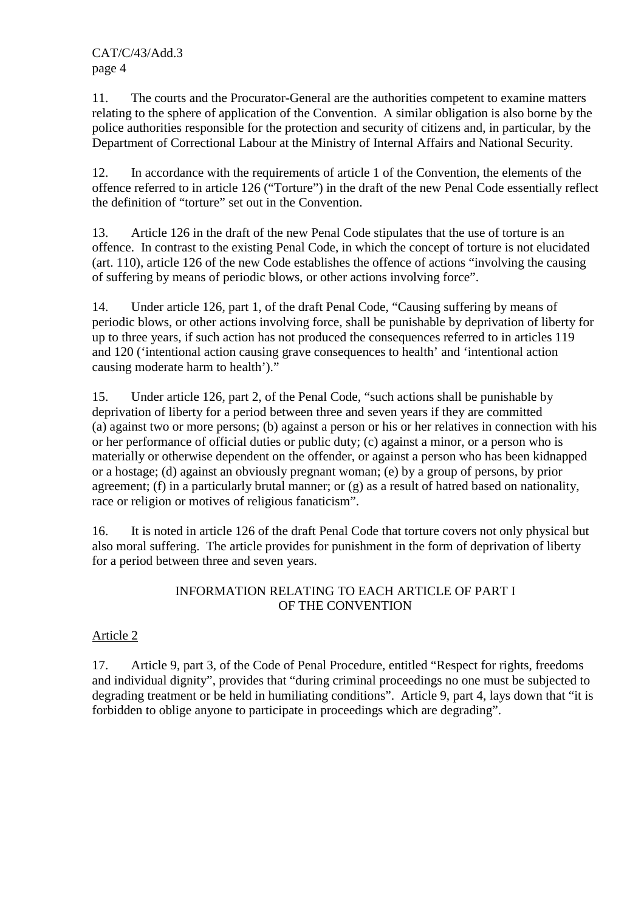11. The courts and the Procurator-General are the authorities competent to examine matters relating to the sphere of application of the Convention. A similar obligation is also borne by the police authorities responsible for the protection and security of citizens and, in particular, by the Department of Correctional Labour at the Ministry of Internal Affairs and National Security.

12. In accordance with the requirements of article 1 of the Convention, the elements of the offence referred to in article 126 ("Torture") in the draft of the new Penal Code essentially reflect the definition of "torture" set out in the Convention.

13. Article 126 in the draft of the new Penal Code stipulates that the use of torture is an offence. In contrast to the existing Penal Code, in which the concept of torture is not elucidated (art. 110), article 126 of the new Code establishes the offence of actions "involving the causing of suffering by means of periodic blows, or other actions involving force".

14. Under article 126, part 1, of the draft Penal Code, "Causing suffering by means of periodic blows, or other actions involving force, shall be punishable by deprivation of liberty for up to three years, if such action has not produced the consequences referred to in articles 119 and 120 ('intentional action causing grave consequences to health' and 'intentional action causing moderate harm to health')."

15. Under article 126, part 2, of the Penal Code, "such actions shall be punishable by deprivation of liberty for a period between three and seven years if they are committed (a) against two or more persons; (b) against a person or his or her relatives in connection with his or her performance of official duties or public duty; (c) against a minor, or a person who is materially or otherwise dependent on the offender, or against a person who has been kidnapped or a hostage; (d) against an obviously pregnant woman; (e) by a group of persons, by prior agreement; (f) in a particularly brutal manner; or (g) as a result of hatred based on nationality, race or religion or motives of religious fanaticism".

16. It is noted in article 126 of the draft Penal Code that torture covers not only physical but also moral suffering. The article provides for punishment in the form of deprivation of liberty for a period between three and seven years.

### INFORMATION RELATING TO EACH ARTICLE OF PART I OF THE CONVENTION

# Article 2

17. Article 9, part 3, of the Code of Penal Procedure, entitled "Respect for rights, freedoms and individual dignity", provides that "during criminal proceedings no one must be subjected to degrading treatment or be held in humiliating conditions". Article 9, part 4, lays down that "it is forbidden to oblige anyone to participate in proceedings which are degrading".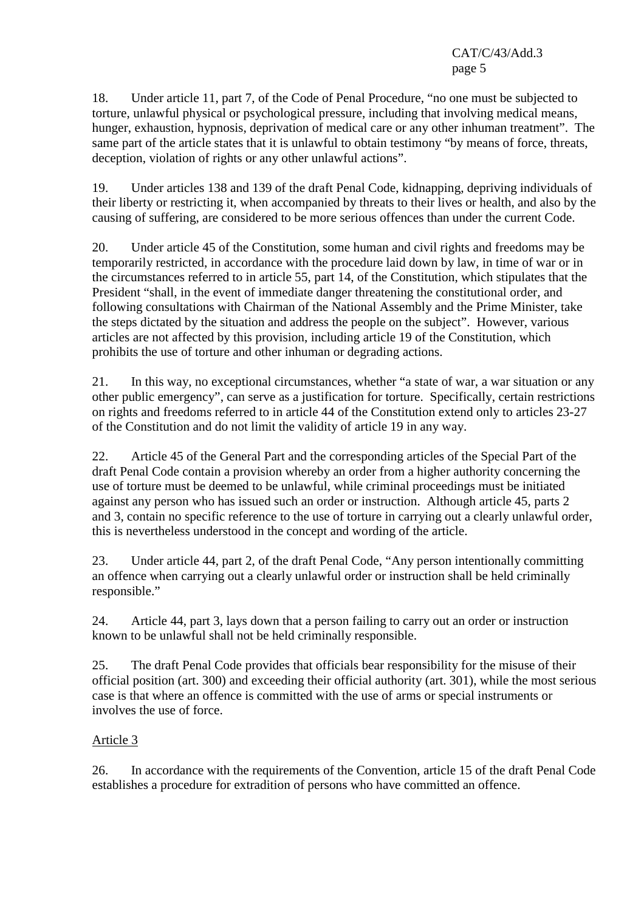18. Under article 11, part 7, of the Code of Penal Procedure, "no one must be subjected to torture, unlawful physical or psychological pressure, including that involving medical means, hunger, exhaustion, hypnosis, deprivation of medical care or any other inhuman treatment". The same part of the article states that it is unlawful to obtain testimony "by means of force, threats, deception, violation of rights or any other unlawful actions".

19. Under articles 138 and 139 of the draft Penal Code, kidnapping, depriving individuals of their liberty or restricting it, when accompanied by threats to their lives or health, and also by the causing of suffering, are considered to be more serious offences than under the current Code.

20. Under article 45 of the Constitution, some human and civil rights and freedoms may be temporarily restricted, in accordance with the procedure laid down by law, in time of war or in the circumstances referred to in article 55, part 14, of the Constitution, which stipulates that the President "shall, in the event of immediate danger threatening the constitutional order, and following consultations with Chairman of the National Assembly and the Prime Minister, take the steps dictated by the situation and address the people on the subject". However, various articles are not affected by this provision, including article 19 of the Constitution, which prohibits the use of torture and other inhuman or degrading actions.

21. In this way, no exceptional circumstances, whether "a state of war, a war situation or any other public emergency", can serve as a justification for torture. Specifically, certain restrictions on rights and freedoms referred to in article 44 of the Constitution extend only to articles 23-27 of the Constitution and do not limit the validity of article 19 in any way.

22. Article 45 of the General Part and the corresponding articles of the Special Part of the draft Penal Code contain a provision whereby an order from a higher authority concerning the use of torture must be deemed to be unlawful, while criminal proceedings must be initiated against any person who has issued such an order or instruction. Although article 45, parts 2 and 3, contain no specific reference to the use of torture in carrying out a clearly unlawful order, this is nevertheless understood in the concept and wording of the article.

23. Under article 44, part 2, of the draft Penal Code, "Any person intentionally committing an offence when carrying out a clearly unlawful order or instruction shall be held criminally responsible."

24. Article 44, part 3, lays down that a person failing to carry out an order or instruction known to be unlawful shall not be held criminally responsible.

25. The draft Penal Code provides that officials bear responsibility for the misuse of their official position (art. 300) and exceeding their official authority (art. 301), while the most serious case is that where an offence is committed with the use of arms or special instruments or involves the use of force.

# Article 3

26. In accordance with the requirements of the Convention, article 15 of the draft Penal Code establishes a procedure for extradition of persons who have committed an offence.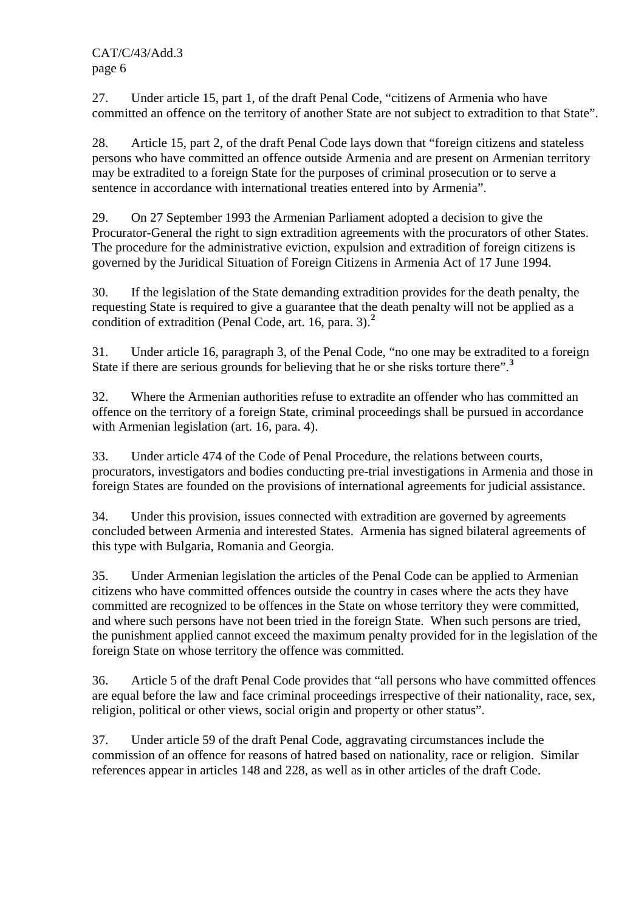27. Under article 15, part 1, of the draft Penal Code, "citizens of Armenia who have committed an offence on the territory of another State are not subject to extradition to that State".

28. Article 15, part 2, of the draft Penal Code lays down that "foreign citizens and stateless persons who have committed an offence outside Armenia and are present on Armenian territory may be extradited to a foreign State for the purposes of criminal prosecution or to serve a sentence in accordance with international treaties entered into by Armenia".

29. On 27 September 1993 the Armenian Parliament adopted a decision to give the Procurator-General the right to sign extradition agreements with the procurators of other States. The procedure for the administrative eviction, expulsion and extradition of foreign citizens is governed by the Juridical Situation of Foreign Citizens in Armenia Act of 17 June 1994.

30. If the legislation of the State demanding extradition provides for the death penalty, the requesting State is required to give a guarantee that the death penalty will not be applied as a condition of extradition (Penal Code, art. 16, para. 3).**<sup>2</sup>**

31. Under article 16, paragraph 3, of the Penal Code, "no one may be extradited to a foreign State if there are serious grounds for believing that he or she risks torture there".**<sup>3</sup>**

32. Where the Armenian authorities refuse to extradite an offender who has committed an offence on the territory of a foreign State, criminal proceedings shall be pursued in accordance with Armenian legislation (art. 16, para. 4).

33. Under article 474 of the Code of Penal Procedure, the relations between courts, procurators, investigators and bodies conducting pre-trial investigations in Armenia and those in foreign States are founded on the provisions of international agreements for judicial assistance.

34. Under this provision, issues connected with extradition are governed by agreements concluded between Armenia and interested States. Armenia has signed bilateral agreements of this type with Bulgaria, Romania and Georgia.

35. Under Armenian legislation the articles of the Penal Code can be applied to Armenian citizens who have committed offences outside the country in cases where the acts they have committed are recognized to be offences in the State on whose territory they were committed, and where such persons have not been tried in the foreign State. When such persons are tried, the punishment applied cannot exceed the maximum penalty provided for in the legislation of the foreign State on whose territory the offence was committed.

36. Article 5 of the draft Penal Code provides that "all persons who have committed offences are equal before the law and face criminal proceedings irrespective of their nationality, race, sex, religion, political or other views, social origin and property or other status".

37. Under article 59 of the draft Penal Code, aggravating circumstances include the commission of an offence for reasons of hatred based on nationality, race or religion. Similar references appear in articles 148 and 228, as well as in other articles of the draft Code.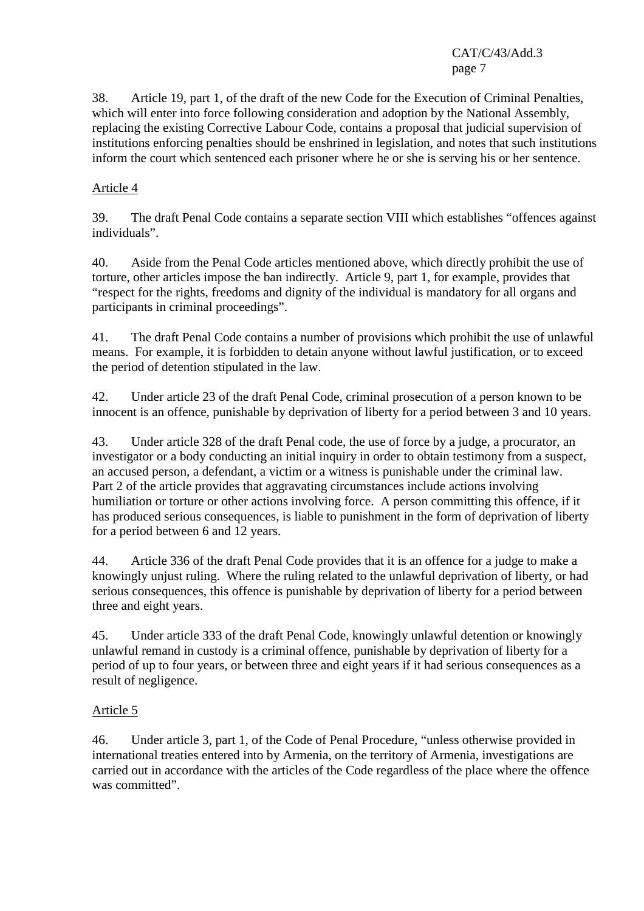38. Article 19, part 1, of the draft of the new Code for the Execution of Criminal Penalties, which will enter into force following consideration and adoption by the National Assembly, replacing the existing Corrective Labour Code, contains a proposal that judicial supervision of institutions enforcing penalties should be enshrined in legislation, and notes that such institutions inform the court which sentenced each prisoner where he or she is serving his or her sentence.

### Article 4

39. The draft Penal Code contains a separate section VIII which establishes "offences against individuals".

40. Aside from the Penal Code articles mentioned above, which directly prohibit the use of torture, other articles impose the ban indirectly. Article 9, part 1, for example, provides that "respect for the rights, freedoms and dignity of the individual is mandatory for all organs and participants in criminal proceedings".

41. The draft Penal Code contains a number of provisions which prohibit the use of unlawful means. For example, it is forbidden to detain anyone without lawful justification, or to exceed the period of detention stipulated in the law.

42. Under article 23 of the draft Penal Code, criminal prosecution of a person known to be innocent is an offence, punishable by deprivation of liberty for a period between 3 and 10 years.

43. Under article 328 of the draft Penal code, the use of force by a judge, a procurator, an investigator or a body conducting an initial inquiry in order to obtain testimony from a suspect, an accused person, a defendant, a victim or a witness is punishable under the criminal law. Part 2 of the article provides that aggravating circumstances include actions involving humiliation or torture or other actions involving force. A person committing this offence, if it has produced serious consequences, is liable to punishment in the form of deprivation of liberty for a period between 6 and 12 years.

44. Article 336 of the draft Penal Code provides that it is an offence for a judge to make a knowingly unjust ruling. Where the ruling related to the unlawful deprivation of liberty, or had serious consequences, this offence is punishable by deprivation of liberty for a period between three and eight years.

45. Under article 333 of the draft Penal Code, knowingly unlawful detention or knowingly unlawful remand in custody is a criminal offence, punishable by deprivation of liberty for a period of up to four years, or between three and eight years if it had serious consequences as a result of negligence.

#### Article 5

46. Under article 3, part 1, of the Code of Penal Procedure, "unless otherwise provided in international treaties entered into by Armenia, on the territory of Armenia, investigations are carried out in accordance with the articles of the Code regardless of the place where the offence was committed".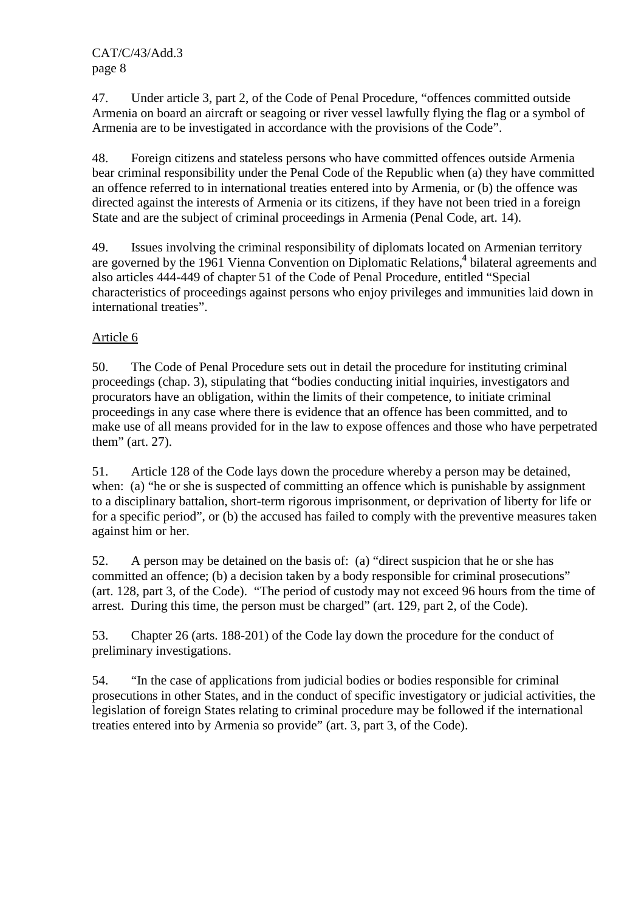47. Under article 3, part 2, of the Code of Penal Procedure, "offences committed outside Armenia on board an aircraft or seagoing or river vessel lawfully flying the flag or a symbol of Armenia are to be investigated in accordance with the provisions of the Code".

48. Foreign citizens and stateless persons who have committed offences outside Armenia bear criminal responsibility under the Penal Code of the Republic when (a) they have committed an offence referred to in international treaties entered into by Armenia, or (b) the offence was directed against the interests of Armenia or its citizens, if they have not been tried in a foreign State and are the subject of criminal proceedings in Armenia (Penal Code, art. 14).

49. Issues involving the criminal responsibility of diplomats located on Armenian territory are governed by the 1961 Vienna Convention on Diplomatic Relations,**<sup>4</sup>** bilateral agreements and also articles 444-449 of chapter 51 of the Code of Penal Procedure, entitled "Special characteristics of proceedings against persons who enjoy privileges and immunities laid down in international treaties".

# Article 6

50. The Code of Penal Procedure sets out in detail the procedure for instituting criminal proceedings (chap. 3), stipulating that "bodies conducting initial inquiries, investigators and procurators have an obligation, within the limits of their competence, to initiate criminal proceedings in any case where there is evidence that an offence has been committed, and to make use of all means provided for in the law to expose offences and those who have perpetrated them" (art. 27).

51. Article 128 of the Code lays down the procedure whereby a person may be detained, when: (a) "he or she is suspected of committing an offence which is punishable by assignment to a disciplinary battalion, short-term rigorous imprisonment, or deprivation of liberty for life or for a specific period", or (b) the accused has failed to comply with the preventive measures taken against him or her.

52. A person may be detained on the basis of: (a) "direct suspicion that he or she has committed an offence; (b) a decision taken by a body responsible for criminal prosecutions" (art. 128, part 3, of the Code). "The period of custody may not exceed 96 hours from the time of arrest. During this time, the person must be charged" (art. 129, part 2, of the Code).

53. Chapter 26 (arts. 188-201) of the Code lay down the procedure for the conduct of preliminary investigations.

54. "In the case of applications from judicial bodies or bodies responsible for criminal prosecutions in other States, and in the conduct of specific investigatory or judicial activities, the legislation of foreign States relating to criminal procedure may be followed if the international treaties entered into by Armenia so provide" (art. 3, part 3, of the Code).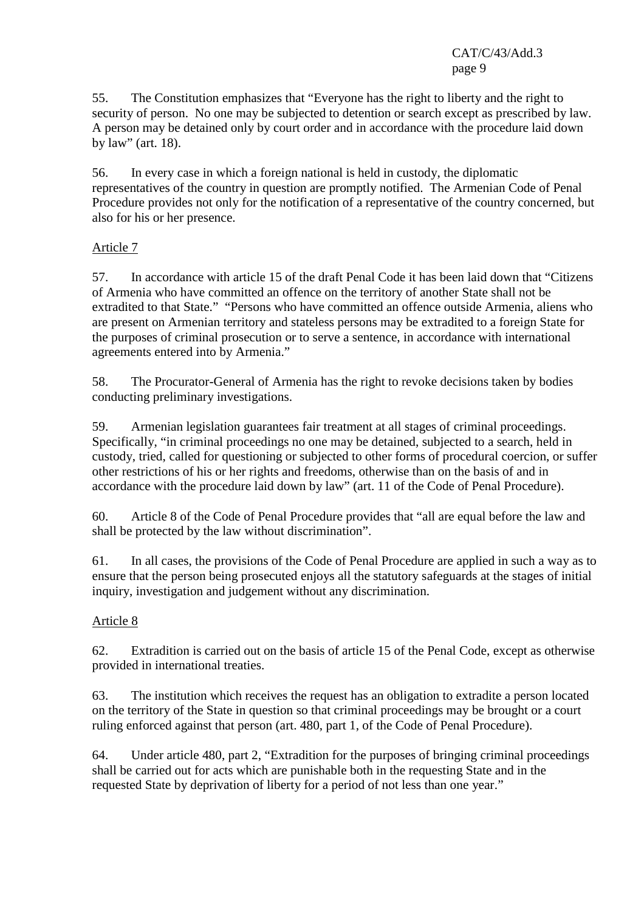55. The Constitution emphasizes that "Everyone has the right to liberty and the right to security of person. No one may be subjected to detention or search except as prescribed by law. A person may be detained only by court order and in accordance with the procedure laid down by law" (art. 18).

56. In every case in which a foreign national is held in custody, the diplomatic representatives of the country in question are promptly notified. The Armenian Code of Penal Procedure provides not only for the notification of a representative of the country concerned, but also for his or her presence.

### Article 7

57. In accordance with article 15 of the draft Penal Code it has been laid down that "Citizens of Armenia who have committed an offence on the territory of another State shall not be extradited to that State." "Persons who have committed an offence outside Armenia, aliens who are present on Armenian territory and stateless persons may be extradited to a foreign State for the purposes of criminal prosecution or to serve a sentence, in accordance with international agreements entered into by Armenia."

58. The Procurator-General of Armenia has the right to revoke decisions taken by bodies conducting preliminary investigations.

59. Armenian legislation guarantees fair treatment at all stages of criminal proceedings. Specifically, "in criminal proceedings no one may be detained, subjected to a search, held in custody, tried, called for questioning or subjected to other forms of procedural coercion, or suffer other restrictions of his or her rights and freedoms, otherwise than on the basis of and in accordance with the procedure laid down by law" (art. 11 of the Code of Penal Procedure).

60. Article 8 of the Code of Penal Procedure provides that "all are equal before the law and shall be protected by the law without discrimination".

61. In all cases, the provisions of the Code of Penal Procedure are applied in such a way as to ensure that the person being prosecuted enjoys all the statutory safeguards at the stages of initial inquiry, investigation and judgement without any discrimination.

#### Article 8

62. Extradition is carried out on the basis of article 15 of the Penal Code, except as otherwise provided in international treaties.

63. The institution which receives the request has an obligation to extradite a person located on the territory of the State in question so that criminal proceedings may be brought or a court ruling enforced against that person (art. 480, part 1, of the Code of Penal Procedure).

64. Under article 480, part 2, "Extradition for the purposes of bringing criminal proceedings shall be carried out for acts which are punishable both in the requesting State and in the requested State by deprivation of liberty for a period of not less than one year."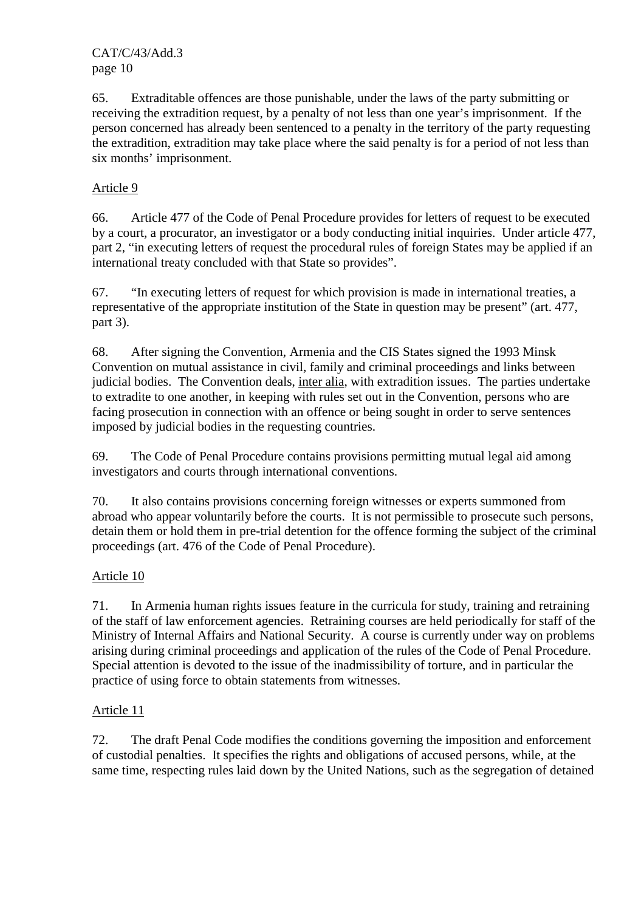65. Extraditable offences are those punishable, under the laws of the party submitting or receiving the extradition request, by a penalty of not less than one year's imprisonment. If the person concerned has already been sentenced to a penalty in the territory of the party requesting the extradition, extradition may take place where the said penalty is for a period of not less than six months' imprisonment.

### Article 9

66. Article 477 of the Code of Penal Procedure provides for letters of request to be executed by a court, a procurator, an investigator or a body conducting initial inquiries. Under article 477, part 2, "in executing letters of request the procedural rules of foreign States may be applied if an international treaty concluded with that State so provides".

67. "In executing letters of request for which provision is made in international treaties, a representative of the appropriate institution of the State in question may be present" (art. 477, part 3).

68. After signing the Convention, Armenia and the CIS States signed the 1993 Minsk Convention on mutual assistance in civil, family and criminal proceedings and links between judicial bodies. The Convention deals, inter alia, with extradition issues. The parties undertake to extradite to one another, in keeping with rules set out in the Convention, persons who are facing prosecution in connection with an offence or being sought in order to serve sentences imposed by judicial bodies in the requesting countries.

69. The Code of Penal Procedure contains provisions permitting mutual legal aid among investigators and courts through international conventions.

70. It also contains provisions concerning foreign witnesses or experts summoned from abroad who appear voluntarily before the courts. It is not permissible to prosecute such persons, detain them or hold them in pre-trial detention for the offence forming the subject of the criminal proceedings (art. 476 of the Code of Penal Procedure).

#### Article 10

71. In Armenia human rights issues feature in the curricula for study, training and retraining of the staff of law enforcement agencies. Retraining courses are held periodically for staff of the Ministry of Internal Affairs and National Security. A course is currently under way on problems arising during criminal proceedings and application of the rules of the Code of Penal Procedure. Special attention is devoted to the issue of the inadmissibility of torture, and in particular the practice of using force to obtain statements from witnesses.

#### Article 11

72. The draft Penal Code modifies the conditions governing the imposition and enforcement of custodial penalties. It specifies the rights and obligations of accused persons, while, at the same time, respecting rules laid down by the United Nations, such as the segregation of detained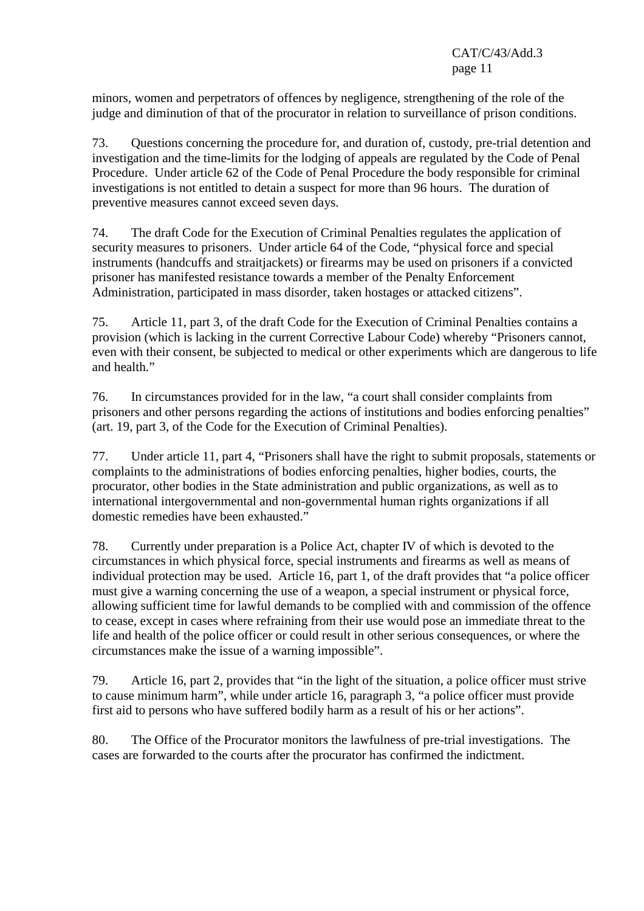minors, women and perpetrators of offences by negligence, strengthening of the role of the judge and diminution of that of the procurator in relation to surveillance of prison conditions.

73. Questions concerning the procedure for, and duration of, custody, pre-trial detention and investigation and the time-limits for the lodging of appeals are regulated by the Code of Penal Procedure. Under article 62 of the Code of Penal Procedure the body responsible for criminal investigations is not entitled to detain a suspect for more than 96 hours. The duration of preventive measures cannot exceed seven days.

74. The draft Code for the Execution of Criminal Penalties regulates the application of security measures to prisoners. Under article 64 of the Code, "physical force and special instruments (handcuffs and straitjackets) or firearms may be used on prisoners if a convicted prisoner has manifested resistance towards a member of the Penalty Enforcement Administration, participated in mass disorder, taken hostages or attacked citizens".

75. Article 11, part 3, of the draft Code for the Execution of Criminal Penalties contains a provision (which is lacking in the current Corrective Labour Code) whereby "Prisoners cannot, even with their consent, be subjected to medical or other experiments which are dangerous to life and health."

76. In circumstances provided for in the law, "a court shall consider complaints from prisoners and other persons regarding the actions of institutions and bodies enforcing penalties" (art. 19, part 3, of the Code for the Execution of Criminal Penalties).

77. Under article 11, part 4, "Prisoners shall have the right to submit proposals, statements or complaints to the administrations of bodies enforcing penalties, higher bodies, courts, the procurator, other bodies in the State administration and public organizations, as well as to international intergovernmental and non-governmental human rights organizations if all domestic remedies have been exhausted."

78. Currently under preparation is a Police Act, chapter IV of which is devoted to the circumstances in which physical force, special instruments and firearms as well as means of individual protection may be used. Article 16, part 1, of the draft provides that "a police officer must give a warning concerning the use of a weapon, a special instrument or physical force, allowing sufficient time for lawful demands to be complied with and commission of the offence to cease, except in cases where refraining from their use would pose an immediate threat to the life and health of the police officer or could result in other serious consequences, or where the circumstances make the issue of a warning impossible".

79. Article 16, part 2, provides that "in the light of the situation, a police officer must strive to cause minimum harm", while under article 16, paragraph 3, "a police officer must provide first aid to persons who have suffered bodily harm as a result of his or her actions".

80. The Office of the Procurator monitors the lawfulness of pre-trial investigations. The cases are forwarded to the courts after the procurator has confirmed the indictment.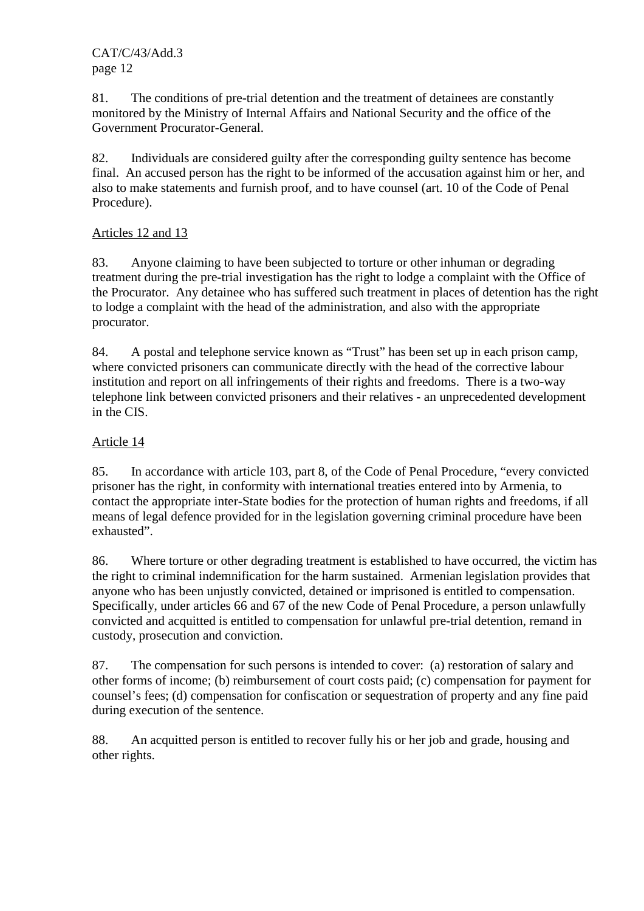81. The conditions of pre-trial detention and the treatment of detainees are constantly monitored by the Ministry of Internal Affairs and National Security and the office of the Government Procurator-General.

82. Individuals are considered guilty after the corresponding guilty sentence has become final. An accused person has the right to be informed of the accusation against him or her, and also to make statements and furnish proof, and to have counsel (art. 10 of the Code of Penal Procedure).

# Articles 12 and 13

83. Anyone claiming to have been subjected to torture or other inhuman or degrading treatment during the pre-trial investigation has the right to lodge a complaint with the Office of the Procurator. Any detainee who has suffered such treatment in places of detention has the right to lodge a complaint with the head of the administration, and also with the appropriate procurator.

84. A postal and telephone service known as "Trust" has been set up in each prison camp, where convicted prisoners can communicate directly with the head of the corrective labour institution and report on all infringements of their rights and freedoms. There is a two-way telephone link between convicted prisoners and their relatives - an unprecedented development in the CIS.

# Article 14

85. In accordance with article 103, part 8, of the Code of Penal Procedure, "every convicted prisoner has the right, in conformity with international treaties entered into by Armenia, to contact the appropriate inter-State bodies for the protection of human rights and freedoms, if all means of legal defence provided for in the legislation governing criminal procedure have been exhausted".

86. Where torture or other degrading treatment is established to have occurred, the victim has the right to criminal indemnification for the harm sustained. Armenian legislation provides that anyone who has been unjustly convicted, detained or imprisoned is entitled to compensation. Specifically, under articles 66 and 67 of the new Code of Penal Procedure, a person unlawfully convicted and acquitted is entitled to compensation for unlawful pre-trial detention, remand in custody, prosecution and conviction.

87. The compensation for such persons is intended to cover: (a) restoration of salary and other forms of income; (b) reimbursement of court costs paid; (c) compensation for payment for counsel's fees; (d) compensation for confiscation or sequestration of property and any fine paid during execution of the sentence.

88. An acquitted person is entitled to recover fully his or her job and grade, housing and other rights.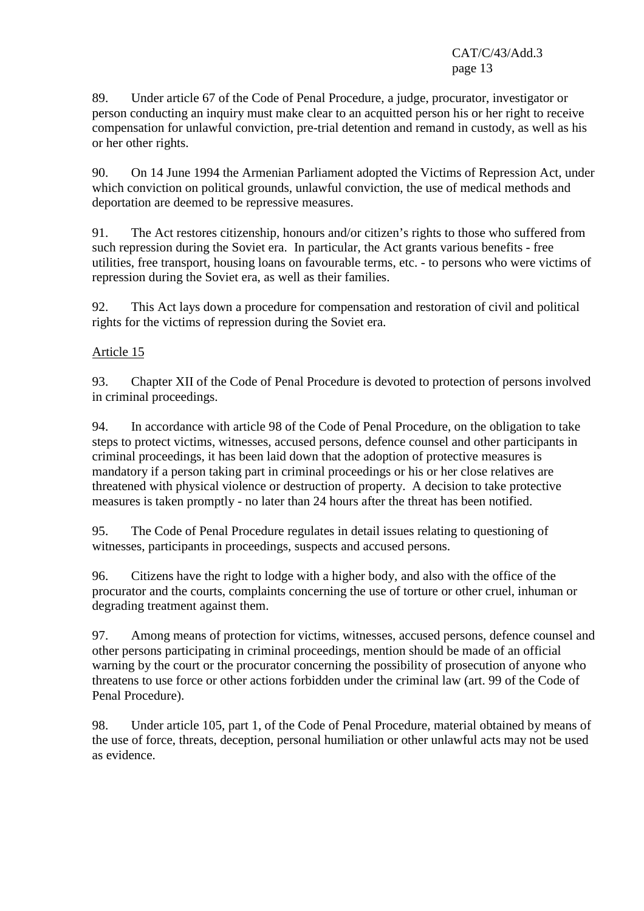89. Under article 67 of the Code of Penal Procedure, a judge, procurator, investigator or person conducting an inquiry must make clear to an acquitted person his or her right to receive compensation for unlawful conviction, pre-trial detention and remand in custody, as well as his or her other rights.

90. On 14 June 1994 the Armenian Parliament adopted the Victims of Repression Act, under which conviction on political grounds, unlawful conviction, the use of medical methods and deportation are deemed to be repressive measures.

91. The Act restores citizenship, honours and/or citizen's rights to those who suffered from such repression during the Soviet era. In particular, the Act grants various benefits - free utilities, free transport, housing loans on favourable terms, etc. - to persons who were victims of repression during the Soviet era, as well as their families.

92. This Act lays down a procedure for compensation and restoration of civil and political rights for the victims of repression during the Soviet era.

#### Article 15

93. Chapter XII of the Code of Penal Procedure is devoted to protection of persons involved in criminal proceedings.

94. In accordance with article 98 of the Code of Penal Procedure, on the obligation to take steps to protect victims, witnesses, accused persons, defence counsel and other participants in criminal proceedings, it has been laid down that the adoption of protective measures is mandatory if a person taking part in criminal proceedings or his or her close relatives are threatened with physical violence or destruction of property. A decision to take protective measures is taken promptly - no later than 24 hours after the threat has been notified.

95. The Code of Penal Procedure regulates in detail issues relating to questioning of witnesses, participants in proceedings, suspects and accused persons.

96. Citizens have the right to lodge with a higher body, and also with the office of the procurator and the courts, complaints concerning the use of torture or other cruel, inhuman or degrading treatment against them.

97. Among means of protection for victims, witnesses, accused persons, defence counsel and other persons participating in criminal proceedings, mention should be made of an official warning by the court or the procurator concerning the possibility of prosecution of anyone who threatens to use force or other actions forbidden under the criminal law (art. 99 of the Code of Penal Procedure).

98. Under article 105, part 1, of the Code of Penal Procedure, material obtained by means of the use of force, threats, deception, personal humiliation or other unlawful acts may not be used as evidence.